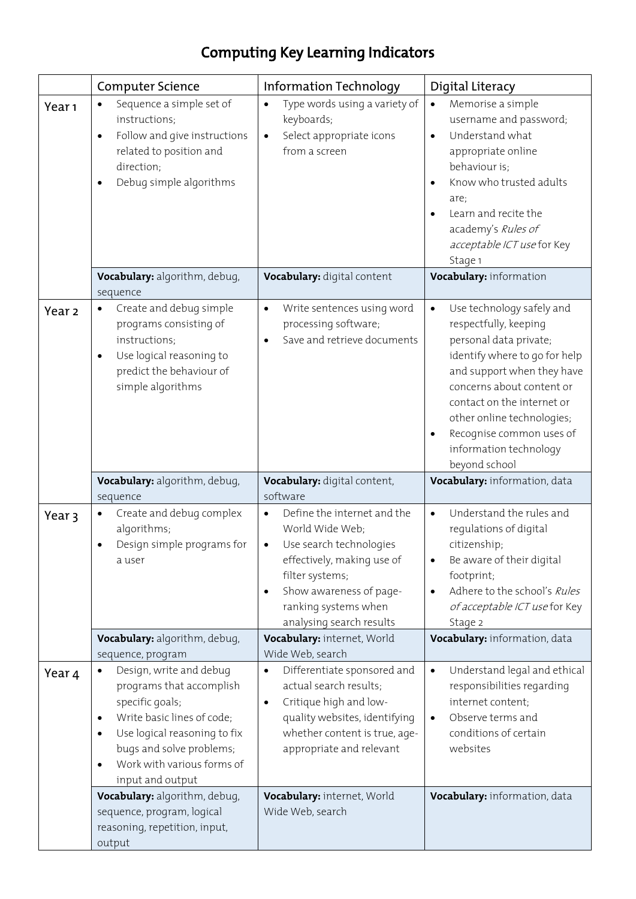## Computing Key Learning Indicators

|                   | <b>Computer Science</b>                                                                                                                                                                                                                                                     | Information Technology                                                                                                                                                                                                                           | Digital Literacy                                                                                                                                                                                                                                                                                                                      |
|-------------------|-----------------------------------------------------------------------------------------------------------------------------------------------------------------------------------------------------------------------------------------------------------------------------|--------------------------------------------------------------------------------------------------------------------------------------------------------------------------------------------------------------------------------------------------|---------------------------------------------------------------------------------------------------------------------------------------------------------------------------------------------------------------------------------------------------------------------------------------------------------------------------------------|
| Year <sub>1</sub> | Sequence a simple set of<br>$\bullet$<br>instructions;<br>Follow and give instructions<br>$\bullet$<br>related to position and<br>direction;<br>Debug simple algorithms<br>$\bullet$                                                                                        | Type words using a variety of<br>$\bullet$<br>keyboards;<br>Select appropriate icons<br>$\bullet$<br>from a screen                                                                                                                               | Memorise a simple<br>$\bullet$<br>username and password;<br>Understand what<br>$\bullet$<br>appropriate online<br>behaviour is;<br>Know who trusted adults<br>$\bullet$<br>are;<br>Learn and recite the<br>$\bullet$<br>academy's Rules of<br>acceptable ICT use for Key<br>Stage 1                                                   |
|                   | Vocabulary: algorithm, debug,<br>sequence                                                                                                                                                                                                                                   | Vocabulary: digital content                                                                                                                                                                                                                      | Vocabulary: information                                                                                                                                                                                                                                                                                                               |
| Year <sub>2</sub> | Create and debug simple<br>$\bullet$<br>programs consisting of<br>instructions;<br>Use logical reasoning to<br>$\bullet$<br>predict the behaviour of<br>simple algorithms                                                                                                   | Write sentences using word<br>$\bullet$<br>processing software;<br>Save and retrieve documents<br>$\bullet$                                                                                                                                      | Use technology safely and<br>$\bullet$<br>respectfully, keeping<br>personal data private;<br>identify where to go for help<br>and support when they have<br>concerns about content or<br>contact on the internet or<br>other online technologies;<br>Recognise common uses of<br>$\bullet$<br>information technology<br>beyond school |
|                   | Vocabulary: algorithm, debug,<br>sequence                                                                                                                                                                                                                                   | Vocabulary: digital content,<br>software                                                                                                                                                                                                         | Vocabulary: information, data                                                                                                                                                                                                                                                                                                         |
| Year 3            | Create and debug complex<br>$\bullet$<br>algorithms;<br>Design simple programs for<br>$\bullet$<br>a user                                                                                                                                                                   | Define the internet and the<br>$\bullet$<br>World Wide Web;<br>Use search technologies<br>$\bullet$<br>effectively, making use of<br>filter systems;<br>Show awareness of page-<br>$\bullet$<br>ranking systems when<br>analysing search results | Understand the rules and<br>$\bullet$<br>regulations of digital<br>citizenship;<br>Be aware of their digital<br>٠<br>footprint;<br>Adhere to the school's Rules<br>$\bullet$<br>of acceptable ICT use for Key<br>Stage 2                                                                                                              |
|                   | Vocabulary: algorithm, debug,                                                                                                                                                                                                                                               | Vocabulary: internet, World                                                                                                                                                                                                                      | Vocabulary: information, data                                                                                                                                                                                                                                                                                                         |
| Year 4            | sequence, program<br>Design, write and debug<br>$\bullet$<br>programs that accomplish<br>specific goals;<br>Write basic lines of code;<br>٠<br>Use logical reasoning to fix<br>٠<br>bugs and solve problems;<br>Work with various forms of<br>$\bullet$<br>input and output | Wide Web, search<br>Differentiate sponsored and<br>$\bullet$<br>actual search results;<br>Critique high and low-<br>quality websites, identifying<br>whether content is true, age-<br>appropriate and relevant                                   | Understand legal and ethical<br>$\bullet$<br>responsibilities regarding<br>internet content;<br>Observe terms and<br>$\bullet$<br>conditions of certain<br>websites                                                                                                                                                                   |
|                   | Vocabulary: algorithm, debug,<br>sequence, program, logical<br>reasoning, repetition, input,<br>output                                                                                                                                                                      | Vocabulary: internet, World<br>Wide Web, search                                                                                                                                                                                                  | Vocabulary: information, data                                                                                                                                                                                                                                                                                                         |